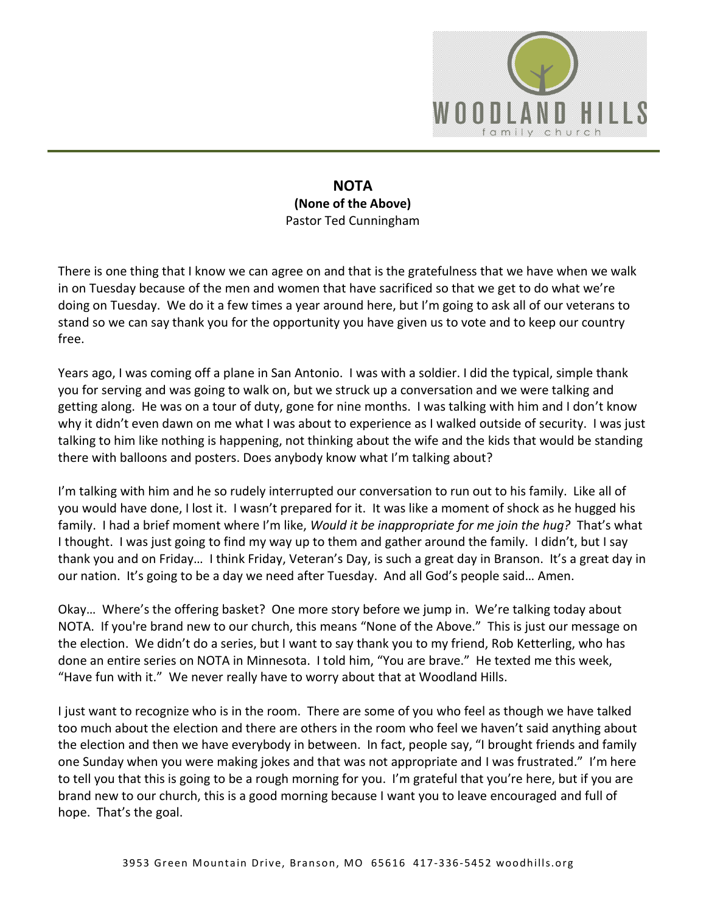

## **NOTA (None of the Above)**  Pastor Ted Cunningham

There is one thing that I know we can agree on and that is the gratefulness that we have when we walk in on Tuesday because of the men and women that have sacrificed so that we get to do what we're doing on Tuesday. We do it a few times a year around here, but I'm going to ask all of our veterans to stand so we can say thank you for the opportunity you have given us to vote and to keep our country free.

Years ago, I was coming off a plane in San Antonio. I was with a soldier. I did the typical, simple thank you for serving and was going to walk on, but we struck up a conversation and we were talking and getting along. He was on a tour of duty, gone for nine months. I was talking with him and I don't know why it didn't even dawn on me what I was about to experience as I walked outside of security. I was just talking to him like nothing is happening, not thinking about the wife and the kids that would be standing there with balloons and posters. Does anybody know what I'm talking about?

I'm talking with him and he so rudely interrupted our conversation to run out to his family. Like all of you would have done, I lost it. I wasn't prepared for it. It was like a moment of shock as he hugged his family. I had a brief moment where I'm like, *Would it be inappropriate for me join the hug?* That's what I thought. I was just going to find my way up to them and gather around the family. I didn't, but I say thank you and on Friday… I think Friday, Veteran's Day, is such a great day in Branson. It's a great day in our nation. It's going to be a day we need after Tuesday. And all God's people said… Amen.

Okay… Where's the offering basket? One more story before we jump in. We're talking today about NOTA. If you're brand new to our church, this means "None of the Above." This is just our message on the election. We didn't do a series, but I want to say thank you to my friend, Rob Ketterling, who has done an entire series on NOTA in Minnesota. I told him, "You are brave." He texted me this week, "Have fun with it." We never really have to worry about that at Woodland Hills.

I just want to recognize who is in the room. There are some of you who feel as though we have talked too much about the election and there are others in the room who feel we haven't said anything about the election and then we have everybody in between. In fact, people say, "I brought friends and family one Sunday when you were making jokes and that was not appropriate and I was frustrated." I'm here to tell you that this is going to be a rough morning for you. I'm grateful that you're here, but if you are brand new to our church, this is a good morning because I want you to leave encouraged and full of hope. That's the goal.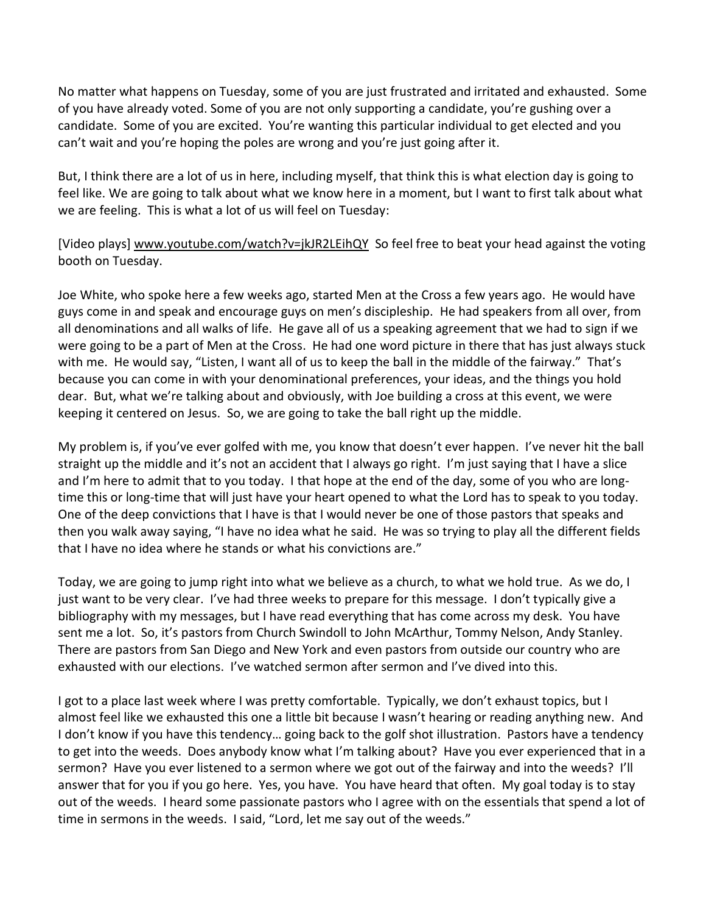No matter what happens on Tuesday, some of you are just frustrated and irritated and exhausted. Some of you have already voted. Some of you are not only supporting a candidate, you're gushing over a candidate. Some of you are excited. You're wanting this particular individual to get elected and you can't wait and you're hoping the poles are wrong and you're just going after it.

But, I think there are a lot of us in here, including myself, that think this is what election day is going to feel like. We are going to talk about what we know here in a moment, but I want to first talk about what we are feeling. This is what a lot of us will feel on Tuesday:

[Video plays] [www.youtube.com/watch?v=jkJR2LEihQY](http://www.youtube.com/watch?v=jkJR2LEihQY) So feel free to beat your head against the voting booth on Tuesday.

Joe White, who spoke here a few weeks ago, started Men at the Cross a few years ago. He would have guys come in and speak and encourage guys on men's discipleship. He had speakers from all over, from all denominations and all walks of life. He gave all of us a speaking agreement that we had to sign if we were going to be a part of Men at the Cross. He had one word picture in there that has just always stuck with me. He would say, "Listen, I want all of us to keep the ball in the middle of the fairway." That's because you can come in with your denominational preferences, your ideas, and the things you hold dear. But, what we're talking about and obviously, with Joe building a cross at this event, we were keeping it centered on Jesus. So, we are going to take the ball right up the middle.

My problem is, if you've ever golfed with me, you know that doesn't ever happen. I've never hit the ball straight up the middle and it's not an accident that I always go right. I'm just saying that I have a slice and I'm here to admit that to you today. I that hope at the end of the day, some of you who are longtime this or long-time that will just have your heart opened to what the Lord has to speak to you today. One of the deep convictions that I have is that I would never be one of those pastors that speaks and then you walk away saying, "I have no idea what he said. He was so trying to play all the different fields that I have no idea where he stands or what his convictions are."

Today, we are going to jump right into what we believe as a church, to what we hold true. As we do, I just want to be very clear. I've had three weeks to prepare for this message. I don't typically give a bibliography with my messages, but I have read everything that has come across my desk. You have sent me a lot. So, it's pastors from Church Swindoll to John McArthur, Tommy Nelson, Andy Stanley. There are pastors from San Diego and New York and even pastors from outside our country who are exhausted with our elections. I've watched sermon after sermon and I've dived into this.

I got to a place last week where I was pretty comfortable. Typically, we don't exhaust topics, but I almost feel like we exhausted this one a little bit because I wasn't hearing or reading anything new. And I don't know if you have this tendency… going back to the golf shot illustration. Pastors have a tendency to get into the weeds. Does anybody know what I'm talking about? Have you ever experienced that in a sermon? Have you ever listened to a sermon where we got out of the fairway and into the weeds? I'll answer that for you if you go here. Yes, you have. You have heard that often. My goal today is to stay out of the weeds. I heard some passionate pastors who I agree with on the essentials that spend a lot of time in sermons in the weeds. I said, "Lord, let me say out of the weeds."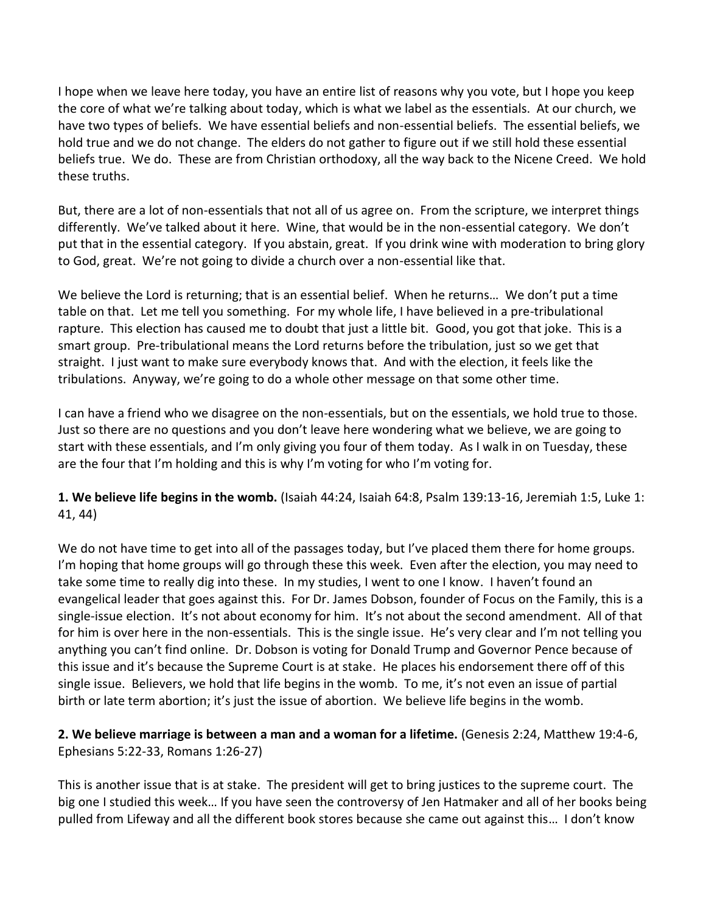I hope when we leave here today, you have an entire list of reasons why you vote, but I hope you keep the core of what we're talking about today, which is what we label as the essentials. At our church, we have two types of beliefs. We have essential beliefs and non-essential beliefs. The essential beliefs, we hold true and we do not change. The elders do not gather to figure out if we still hold these essential beliefs true. We do. These are from Christian orthodoxy, all the way back to the Nicene Creed. We hold these truths.

But, there are a lot of non-essentials that not all of us agree on. From the scripture, we interpret things differently. We've talked about it here. Wine, that would be in the non-essential category. We don't put that in the essential category. If you abstain, great. If you drink wine with moderation to bring glory to God, great. We're not going to divide a church over a non-essential like that.

We believe the Lord is returning; that is an essential belief. When he returns… We don't put a time table on that. Let me tell you something. For my whole life, I have believed in a pre-tribulational rapture. This election has caused me to doubt that just a little bit. Good, you got that joke. This is a smart group. Pre-tribulational means the Lord returns before the tribulation, just so we get that straight. I just want to make sure everybody knows that. And with the election, it feels like the tribulations. Anyway, we're going to do a whole other message on that some other time.

I can have a friend who we disagree on the non-essentials, but on the essentials, we hold true to those. Just so there are no questions and you don't leave here wondering what we believe, we are going to start with these essentials, and I'm only giving you four of them today. As I walk in on Tuesday, these are the four that I'm holding and this is why I'm voting for who I'm voting for.

**1. We believe life begins in the womb.** (Isaiah 44:24, Isaiah 64:8, Psalm 139:13-16, Jeremiah 1:5, Luke 1: 41, 44)

We do not have time to get into all of the passages today, but I've placed them there for home groups. I'm hoping that home groups will go through these this week. Even after the election, you may need to take some time to really dig into these. In my studies, I went to one I know. I haven't found an evangelical leader that goes against this. For Dr. James Dobson, founder of Focus on the Family, this is a single-issue election. It's not about economy for him. It's not about the second amendment. All of that for him is over here in the non-essentials. This is the single issue. He's very clear and I'm not telling you anything you can't find online. Dr. Dobson is voting for Donald Trump and Governor Pence because of this issue and it's because the Supreme Court is at stake. He places his endorsement there off of this single issue. Believers, we hold that life begins in the womb. To me, it's not even an issue of partial birth or late term abortion; it's just the issue of abortion. We believe life begins in the womb.

## **2. We believe marriage is between a man and a woman for a lifetime.** (Genesis 2:24, Matthew 19:4-6, Ephesians 5:22-33, Romans 1:26-27)

This is another issue that is at stake. The president will get to bring justices to the supreme court. The big one I studied this week… If you have seen the controversy of Jen Hatmaker and all of her books being pulled from Lifeway and all the different book stores because she came out against this… I don't know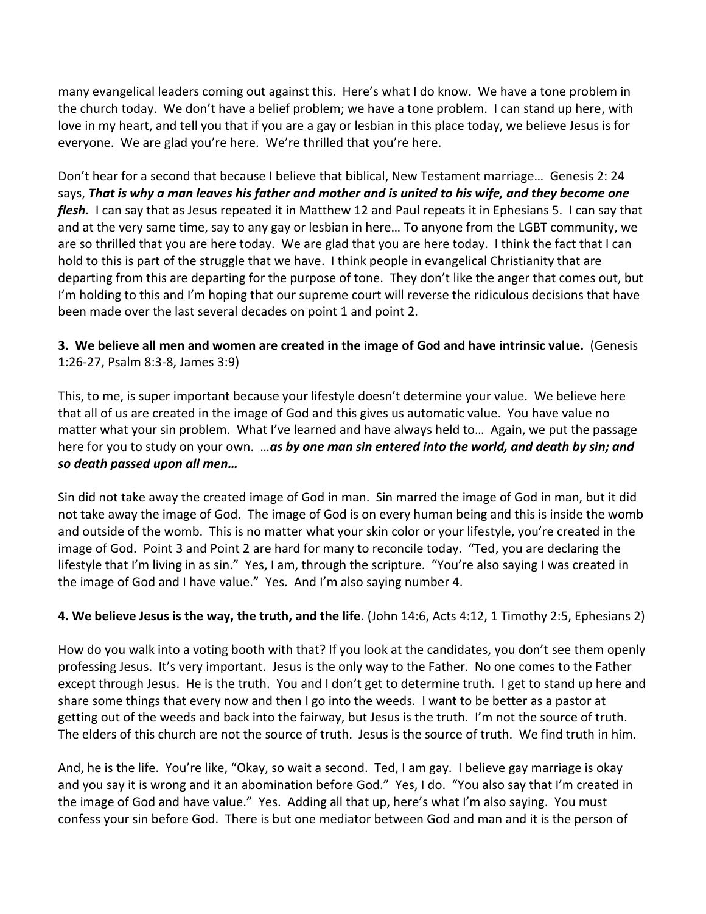many evangelical leaders coming out against this. Here's what I do know. We have a tone problem in the church today. We don't have a belief problem; we have a tone problem. I can stand up here, with love in my heart, and tell you that if you are a gay or lesbian in this place today, we believe Jesus is for everyone. We are glad you're here. We're thrilled that you're here.

Don't hear for a second that because I believe that biblical, New Testament marriage… Genesis 2: 24 says, *That is why a man leaves his father and mother and is united to his wife, and they become one flesh.* I can say that as Jesus repeated it in Matthew 12 and Paul repeats it in Ephesians 5. I can say that and at the very same time, say to any gay or lesbian in here… To anyone from the LGBT community, we are so thrilled that you are here today. We are glad that you are here today. I think the fact that I can hold to this is part of the struggle that we have. I think people in evangelical Christianity that are departing from this are departing for the purpose of tone. They don't like the anger that comes out, but I'm holding to this and I'm hoping that our supreme court will reverse the ridiculous decisions that have been made over the last several decades on point 1 and point 2.

## **3. We believe all men and women are created in the image of God and have intrinsic value.** (Genesis 1:26-27, Psalm 8:3-8, James 3:9)

This, to me, is super important because your lifestyle doesn't determine your value. We believe here that all of us are created in the image of God and this gives us automatic value. You have value no matter what your sin problem. What I've learned and have always held to… Again, we put the passage here for you to study on your own. …*as by one man sin entered into the world, and death by sin; and so death passed upon all men…*

Sin did not take away the created image of God in man. Sin marred the image of God in man, but it did not take away the image of God. The image of God is on every human being and this is inside the womb and outside of the womb. This is no matter what your skin color or your lifestyle, you're created in the image of God. Point 3 and Point 2 are hard for many to reconcile today. "Ted, you are declaring the lifestyle that I'm living in as sin." Yes, I am, through the scripture. "You're also saying I was created in the image of God and I have value." Yes. And I'm also saying number 4.

## **4. We believe Jesus is the way, the truth, and the life**. (John 14:6, Acts 4:12, 1 Timothy 2:5, Ephesians 2)

How do you walk into a voting booth with that? If you look at the candidates, you don't see them openly professing Jesus. It's very important. Jesus is the only way to the Father. No one comes to the Father except through Jesus. He is the truth. You and I don't get to determine truth. I get to stand up here and share some things that every now and then I go into the weeds. I want to be better as a pastor at getting out of the weeds and back into the fairway, but Jesus is the truth. I'm not the source of truth. The elders of this church are not the source of truth. Jesus is the source of truth. We find truth in him.

And, he is the life. You're like, "Okay, so wait a second. Ted, I am gay. I believe gay marriage is okay and you say it is wrong and it an abomination before God." Yes, I do. "You also say that I'm created in the image of God and have value." Yes. Adding all that up, here's what I'm also saying. You must confess your sin before God. There is but one mediator between God and man and it is the person of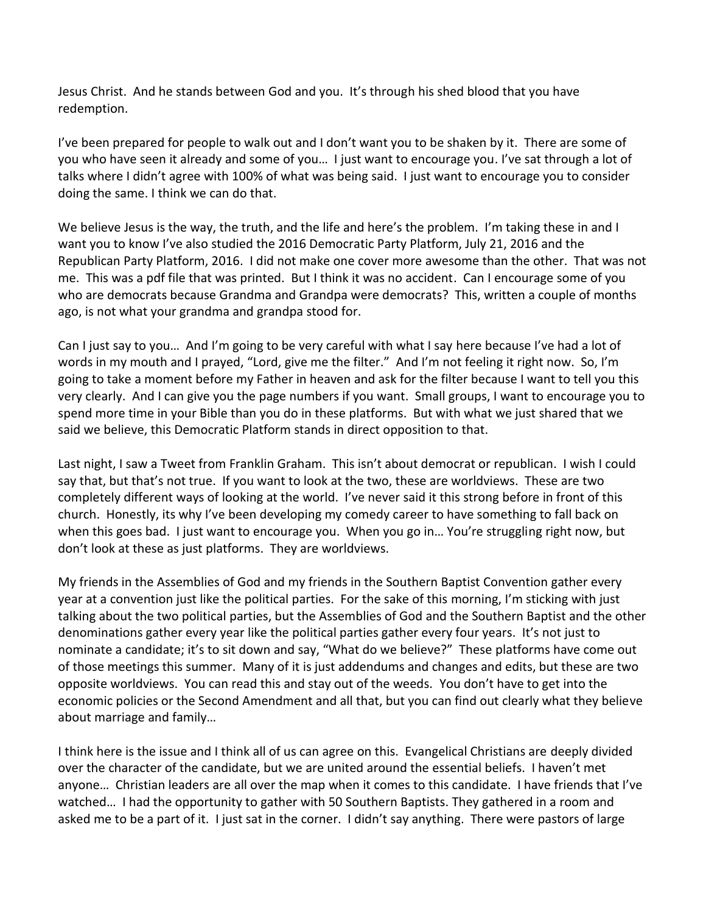Jesus Christ. And he stands between God and you. It's through his shed blood that you have redemption.

I've been prepared for people to walk out and I don't want you to be shaken by it. There are some of you who have seen it already and some of you… I just want to encourage you. I've sat through a lot of talks where I didn't agree with 100% of what was being said. I just want to encourage you to consider doing the same. I think we can do that.

We believe Jesus is the way, the truth, and the life and here's the problem. I'm taking these in and I want you to know I've also studied the 2016 Democratic Party Platform, July 21, 2016 and the Republican Party Platform, 2016. I did not make one cover more awesome than the other. That was not me. This was a pdf file that was printed. But I think it was no accident. Can I encourage some of you who are democrats because Grandma and Grandpa were democrats? This, written a couple of months ago, is not what your grandma and grandpa stood for.

Can I just say to you… And I'm going to be very careful with what I say here because I've had a lot of words in my mouth and I prayed, "Lord, give me the filter." And I'm not feeling it right now. So, I'm going to take a moment before my Father in heaven and ask for the filter because I want to tell you this very clearly. And I can give you the page numbers if you want. Small groups, I want to encourage you to spend more time in your Bible than you do in these platforms. But with what we just shared that we said we believe, this Democratic Platform stands in direct opposition to that.

Last night, I saw a Tweet from Franklin Graham. This isn't about democrat or republican. I wish I could say that, but that's not true. If you want to look at the two, these are worldviews. These are two completely different ways of looking at the world. I've never said it this strong before in front of this church. Honestly, its why I've been developing my comedy career to have something to fall back on when this goes bad. I just want to encourage you. When you go in... You're struggling right now, but don't look at these as just platforms. They are worldviews.

My friends in the Assemblies of God and my friends in the Southern Baptist Convention gather every year at a convention just like the political parties. For the sake of this morning, I'm sticking with just talking about the two political parties, but the Assemblies of God and the Southern Baptist and the other denominations gather every year like the political parties gather every four years. It's not just to nominate a candidate; it's to sit down and say, "What do we believe?" These platforms have come out of those meetings this summer. Many of it is just addendums and changes and edits, but these are two opposite worldviews. You can read this and stay out of the weeds. You don't have to get into the economic policies or the Second Amendment and all that, but you can find out clearly what they believe about marriage and family…

I think here is the issue and I think all of us can agree on this. Evangelical Christians are deeply divided over the character of the candidate, but we are united around the essential beliefs. I haven't met anyone… Christian leaders are all over the map when it comes to this candidate. I have friends that I've watched… I had the opportunity to gather with 50 Southern Baptists. They gathered in a room and asked me to be a part of it. I just sat in the corner. I didn't say anything. There were pastors of large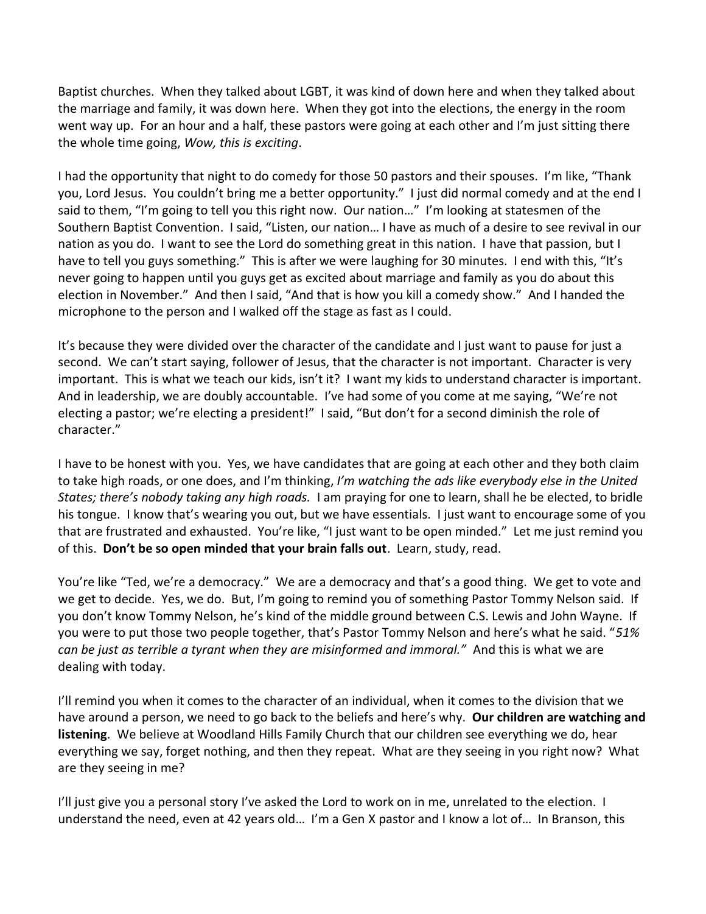Baptist churches. When they talked about LGBT, it was kind of down here and when they talked about the marriage and family, it was down here. When they got into the elections, the energy in the room went way up. For an hour and a half, these pastors were going at each other and I'm just sitting there the whole time going, *Wow, this is exciting*.

I had the opportunity that night to do comedy for those 50 pastors and their spouses. I'm like, "Thank you, Lord Jesus. You couldn't bring me a better opportunity." I just did normal comedy and at the end I said to them, "I'm going to tell you this right now. Our nation…" I'm looking at statesmen of the Southern Baptist Convention. I said, "Listen, our nation… I have as much of a desire to see revival in our nation as you do. I want to see the Lord do something great in this nation. I have that passion, but I have to tell you guys something." This is after we were laughing for 30 minutes. I end with this, "It's never going to happen until you guys get as excited about marriage and family as you do about this election in November." And then I said, "And that is how you kill a comedy show." And I handed the microphone to the person and I walked off the stage as fast as I could.

It's because they were divided over the character of the candidate and I just want to pause for just a second. We can't start saying, follower of Jesus, that the character is not important. Character is very important. This is what we teach our kids, isn't it? I want my kids to understand character is important. And in leadership, we are doubly accountable. I've had some of you come at me saying, "We're not electing a pastor; we're electing a president!" I said, "But don't for a second diminish the role of character."

I have to be honest with you. Yes, we have candidates that are going at each other and they both claim to take high roads, or one does, and I'm thinking, *I'm watching the ads like everybody else in the United States; there's nobody taking any high roads.* I am praying for one to learn, shall he be elected, to bridle his tongue. I know that's wearing you out, but we have essentials. I just want to encourage some of you that are frustrated and exhausted. You're like, "I just want to be open minded." Let me just remind you of this. **Don't be so open minded that your brain falls out**. Learn, study, read.

You're like "Ted, we're a democracy." We are a democracy and that's a good thing. We get to vote and we get to decide. Yes, we do. But, I'm going to remind you of something Pastor Tommy Nelson said. If you don't know Tommy Nelson, he's kind of the middle ground between C.S. Lewis and John Wayne. If you were to put those two people together, that's Pastor Tommy Nelson and here's what he said. "*51% can be just as terrible a tyrant when they are misinformed and immoral."* And this is what we are dealing with today.

I'll remind you when it comes to the character of an individual, when it comes to the division that we have around a person, we need to go back to the beliefs and here's why. **Our children are watching and listening**. We believe at Woodland Hills Family Church that our children see everything we do, hear everything we say, forget nothing, and then they repeat. What are they seeing in you right now? What are they seeing in me?

I'll just give you a personal story I've asked the Lord to work on in me, unrelated to the election. I understand the need, even at 42 years old… I'm a Gen X pastor and I know a lot of… In Branson, this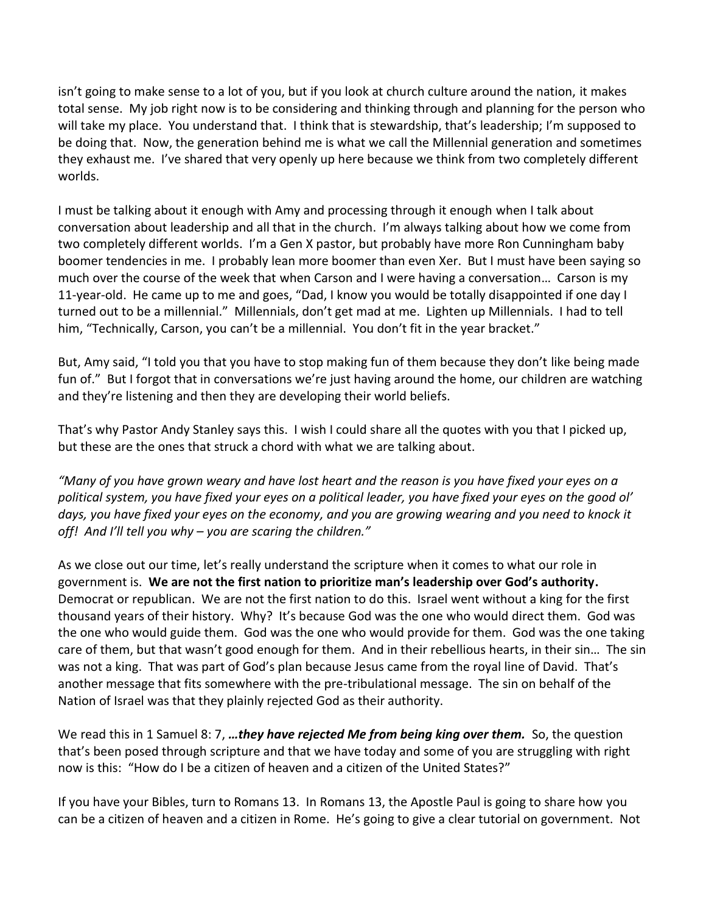isn't going to make sense to a lot of you, but if you look at church culture around the nation, it makes total sense. My job right now is to be considering and thinking through and planning for the person who will take my place. You understand that. I think that is stewardship, that's leadership; I'm supposed to be doing that. Now, the generation behind me is what we call the Millennial generation and sometimes they exhaust me. I've shared that very openly up here because we think from two completely different worlds.

I must be talking about it enough with Amy and processing through it enough when I talk about conversation about leadership and all that in the church. I'm always talking about how we come from two completely different worlds. I'm a Gen X pastor, but probably have more Ron Cunningham baby boomer tendencies in me. I probably lean more boomer than even Xer. But I must have been saying so much over the course of the week that when Carson and I were having a conversation… Carson is my 11-year-old. He came up to me and goes, "Dad, I know you would be totally disappointed if one day I turned out to be a millennial." Millennials, don't get mad at me. Lighten up Millennials. I had to tell him, "Technically, Carson, you can't be a millennial. You don't fit in the year bracket."

But, Amy said, "I told you that you have to stop making fun of them because they don't like being made fun of." But I forgot that in conversations we're just having around the home, our children are watching and they're listening and then they are developing their world beliefs.

That's why Pastor Andy Stanley says this. I wish I could share all the quotes with you that I picked up, but these are the ones that struck a chord with what we are talking about.

*"Many of you have grown weary and have lost heart and the reason is you have fixed your eyes on a political system, you have fixed your eyes on a political leader, you have fixed your eyes on the good ol' days, you have fixed your eyes on the economy, and you are growing wearing and you need to knock it off! And I'll tell you why – you are scaring the children."*

As we close out our time, let's really understand the scripture when it comes to what our role in government is. **We are not the first nation to prioritize man's leadership over God's authority.** Democrat or republican. We are not the first nation to do this. Israel went without a king for the first thousand years of their history. Why? It's because God was the one who would direct them. God was the one who would guide them. God was the one who would provide for them. God was the one taking care of them, but that wasn't good enough for them. And in their rebellious hearts, in their sin… The sin was not a king. That was part of God's plan because Jesus came from the royal line of David. That's another message that fits somewhere with the pre-tribulational message. The sin on behalf of the Nation of Israel was that they plainly rejected God as their authority.

We read this in 1 Samuel 8: 7, *…they have rejected Me from being king over them.* So, the question that's been posed through scripture and that we have today and some of you are struggling with right now is this: "How do I be a citizen of heaven and a citizen of the United States?"

If you have your Bibles, turn to Romans 13. In Romans 13, the Apostle Paul is going to share how you can be a citizen of heaven and a citizen in Rome. He's going to give a clear tutorial on government. Not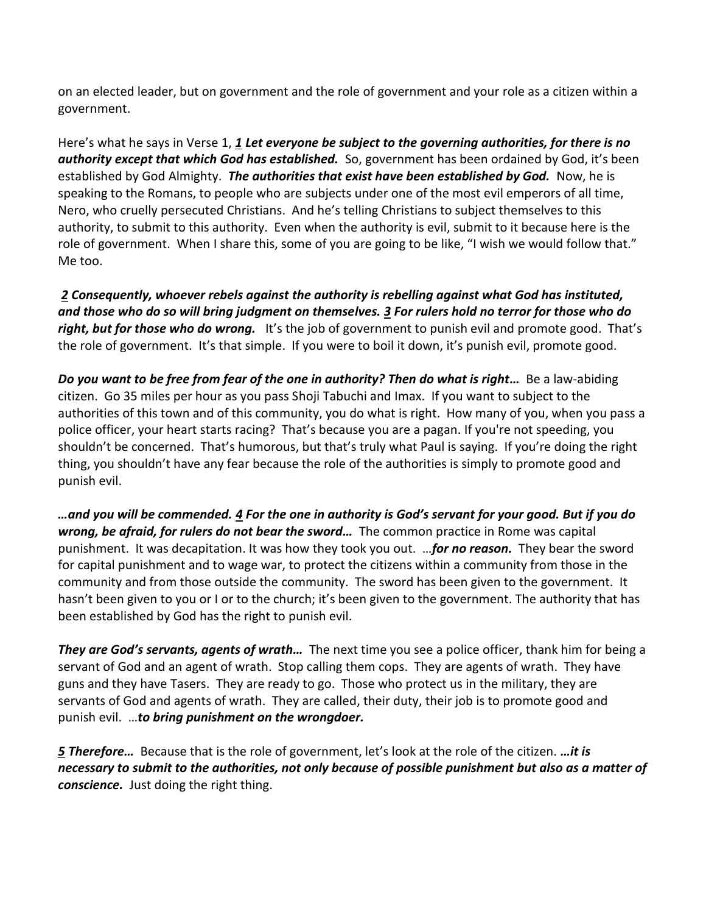on an elected leader, but on government and the role of government and your role as a citizen within a government.

Here's what he says in Verse 1, *[1](http://www.studylight.org/desk/?q=ro%2013:1&t1=en_niv&sr=1) Let everyone be subject to the governing authorities, for there is no authority except that which God has established.* So, government has been ordained by God, it's been established by God Almighty. *The authorities that exist have been established by God.* Now, he is speaking to the Romans, to people who are subjects under one of the most evil emperors of all time, Nero, who cruelly persecuted Christians. And he's telling Christians to subject themselves to this authority, to submit to this authority. Even when the authority is evil, submit to it because here is the role of government. When I share this, some of you are going to be like, "I wish we would follow that." Me too.

 *[2](http://www.studylight.org/desk/?q=ro%2013:2&t1=en_niv&sr=1) Consequently, whoever rebels against the authority is rebelling against what God has instituted, and those who do so will bring judgment on themselves. [3](http://www.studylight.org/desk/?q=ro%2013:3&t1=en_niv&sr=1) For rulers hold no terror for those who do right, but for those who do wrong.* It's the job of government to punish evil and promote good. That's the role of government. It's that simple. If you were to boil it down, it's punish evil, promote good.

*Do you want to be free from fear of the one in authority? Then do what is right...* **Be a law-abiding** citizen. Go 35 miles per hour as you pass Shoji Tabuchi and Imax. If you want to subject to the authorities of this town and of this community, you do what is right. How many of you, when you pass a police officer, your heart starts racing? That's because you are a pagan. If you're not speeding, you shouldn't be concerned. That's humorous, but that's truly what Paul is saying. If you're doing the right thing, you shouldn't have any fear because the role of the authorities is simply to promote good and punish evil.

*…and you will be commended. [4](http://www.studylight.org/desk/?q=ro%2013:4&t1=en_niv&sr=1) For the one in authority is God's servant for your good. But if you do wrong, be afraid, for rulers do not bear the sword…* The common practice in Rome was capital punishment. It was decapitation. It was how they took you out. …*for no reason.* They bear the sword for capital punishment and to wage war, to protect the citizens within a community from those in the community and from those outside the community. The sword has been given to the government. It hasn't been given to you or I or to the church; it's been given to the government. The authority that has been established by God has the right to punish evil.

*They are God's servants, agents of wrath…* The next time you see a police officer, thank him for being a servant of God and an agent of wrath. Stop calling them cops. They are agents of wrath. They have guns and they have Tasers. They are ready to go. Those who protect us in the military, they are servants of God and agents of wrath. They are called, their duty, their job is to promote good and punish evil. …*to bring punishment on the wrongdoer.* 

*[5](http://www.studylight.org/desk/?q=ro%2013:5&t1=en_niv&sr=1) Therefore…* Because that is the role of government, let's look at the role of the citizen. *…it is necessary to submit to the authorities, not only because of possible punishment but also as a matter of conscience.* Just doing the right thing.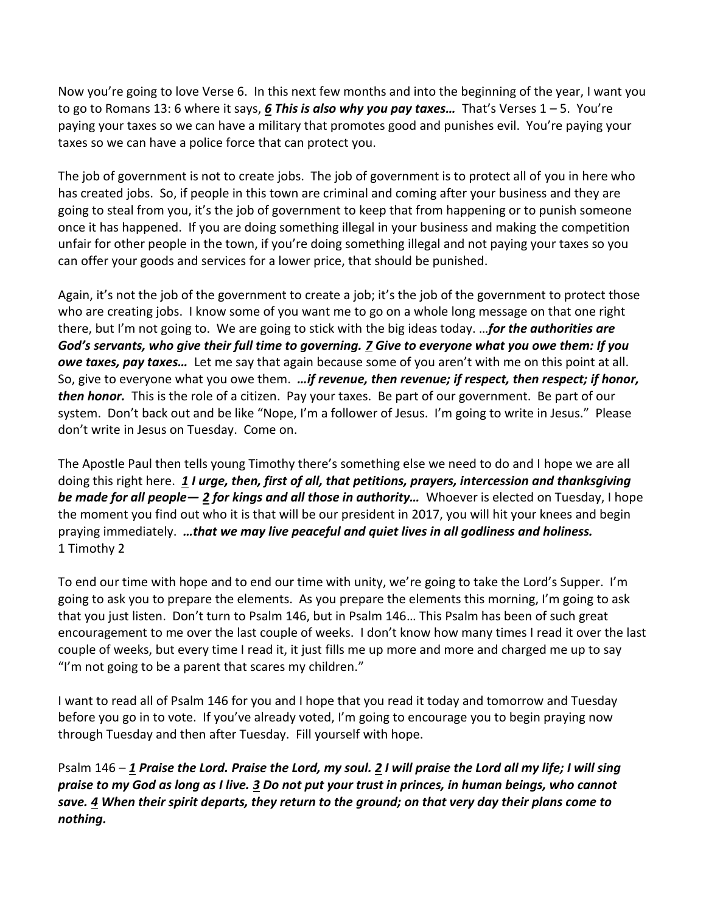Now you're going to love Verse 6. In this next few months and into the beginning of the year, I want you to go to Romans 13: 6 where it says, *[6](http://www.studylight.org/desk/?q=ro%2013:6&t1=en_niv&sr=1) This is also why you pay taxes…* That's Verses 1 – 5. You're paying your taxes so we can have a military that promotes good and punishes evil. You're paying your taxes so we can have a police force that can protect you.

The job of government is not to create jobs. The job of government is to protect all of you in here who has created jobs. So, if people in this town are criminal and coming after your business and they are going to steal from you, it's the job of government to keep that from happening or to punish someone once it has happened. If you are doing something illegal in your business and making the competition unfair for other people in the town, if you're doing something illegal and not paying your taxes so you can offer your goods and services for a lower price, that should be punished.

Again, it's not the job of the government to create a job; it's the job of the government to protect those who are creating jobs. I know some of you want me to go on a whole long message on that one right there, but I'm not going to. We are going to stick with the big ideas today. …*for the authorities are God's servants, who give their full time to governing. [7](http://www.studylight.org/desk/?q=ro%2013:7&t1=en_niv&sr=1) Give to everyone what you owe them: If you owe taxes, pay taxes…* Let me say that again because some of you aren't with me on this point at all. So, give to everyone what you owe them. *…if revenue, then revenue; if respect, then respect; if honor, then honor.* This is the role of a citizen. Pay your taxes. Be part of our government. Be part of our system. Don't back out and be like "Nope, I'm a follower of Jesus. I'm going to write in Jesus." Please don't write in Jesus on Tuesday. Come on.

The Apostle Paul then tells young Timothy there's something else we need to do and I hope we are all doing this right here. *[1](http://www.studylight.org/desk/?q=1ti%202:1&t1=en_niv&sr=1) I urge, then, first of all, that petitions, prayers, intercession and thanksgiving be made for all people— [2](http://www.studylight.org/desk/?q=1ti%202:2&t1=en_niv&sr=1) for kings and all those in authority…* Whoever is elected on Tuesday, I hope the moment you find out who it is that will be our president in 2017, you will hit your knees and begin praying immediately. *…that we may live peaceful and quiet lives in all godliness and holiness.* 1 Timothy 2

To end our time with hope and to end our time with unity, we're going to take the Lord's Supper. I'm going to ask you to prepare the elements. As you prepare the elements this morning, I'm going to ask that you just listen. Don't turn to Psalm 146, but in Psalm 146… This Psalm has been of such great encouragement to me over the last couple of weeks. I don't know how many times I read it over the last couple of weeks, but every time I read it, it just fills me up more and more and charged me up to say "I'm not going to be a parent that scares my children."

I want to read all of Psalm 146 for you and I hope that you read it today and tomorrow and Tuesday before you go in to vote. If you've already voted, I'm going to encourage you to begin praying now through Tuesday and then after Tuesday. Fill yourself with hope.

Psalm 146 – *[1](http://www.studylight.org/desk/?q=ps%20146:1&t1=en_niv&sr=1) Praise the Lord. Praise the Lord, my soul. [2](http://www.studylight.org/desk/?q=ps%20146:2&t1=en_niv&sr=1) I will praise the Lord all my life; I will sing praise to my God as long as I live. [3](http://www.studylight.org/desk/?q=ps%20146:3&t1=en_niv&sr=1) Do not put your trust in princes, in human beings, who cannot save. [4](http://www.studylight.org/desk/?q=ps%20146:4&t1=en_niv&sr=1) When their spirit departs, they return to the ground; on that very day their plans come to nothing.*